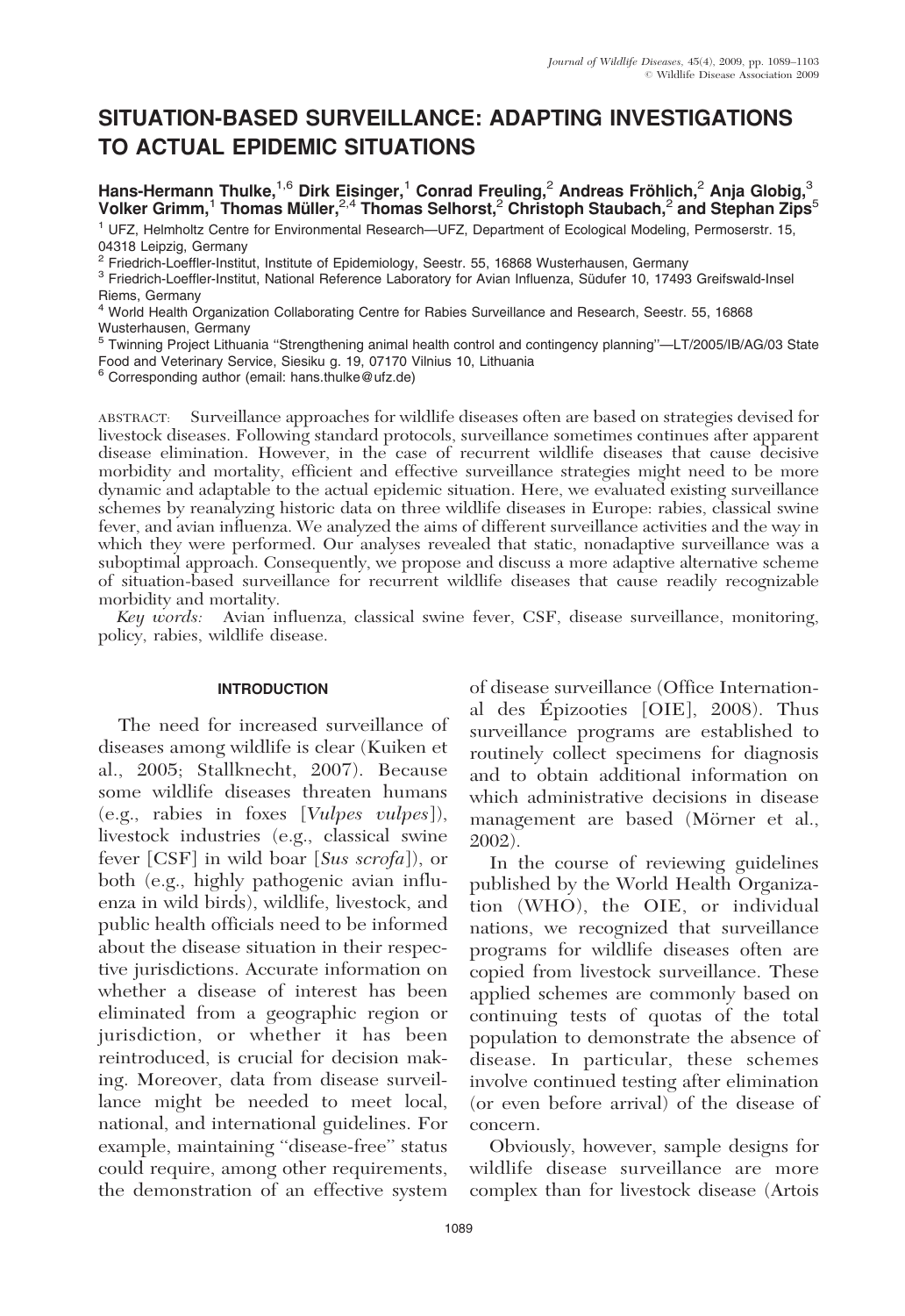# SITUATION-BASED SURVEILLANCE: ADAPTING INVESTIGATIONS TO ACTUAL EPIDEMIC SITUATIONS

Hans-Hermann Thulke,<sup>1,6</sup> Dirk Eisinger,<sup>1</sup> Conrad Freuling,<sup>2</sup> Andreas Fröhlich,<sup>2</sup> Anja Globig,<sup>3</sup> Volker Grimm,<sup>1</sup> Thomas Müller, $2.4$  Thomas Selhorst,<sup>2</sup> Christoph Staubach,<sup>2</sup> and Stephan Zips<sup>5</sup>

<sup>1</sup> UFZ, Helmholtz Centre for Environmental Research—UFZ, Department of Ecological Modeling, Permoserstr. 15, 04318 Leipzig, Germany<br><sup>2</sup> Friedrich-Loeffler-Institut, Institute of Epidemiology, Seestr. 55, 16868 Wusterhausen, Germany

<sup>3</sup> Friedrich-Loeffler-Institut, National Reference Laboratory for Avian Influenza, Südufer 10, 17493 Greifswald-Insel Riems, Germany

<sup>4</sup> World Health Organization Collaborating Centre for Rabies Surveillance and Research, Seestr. 55, 16868 Wusterhausen, Germany

<sup>5</sup> Twinning Project Lithuania ''Strengthening animal health control and contingency planning''—LT/2005/IB/AG/03 State Food and Veterinary Service, Siesiku g. 19, 07170 Vilnius 10, Lithuania

<sup>6</sup> Corresponding author (email: hans.thulke@ufz.de)

ABSTRACT: Surveillance approaches for wildlife diseases often are based on strategies devised for livestock diseases. Following standard protocols, surveillance sometimes continues after apparent disease elimination. However, in the case of recurrent wildlife diseases that cause decisive morbidity and mortality, efficient and effective surveillance strategies might need to be more dynamic and adaptable to the actual epidemic situation. Here, we evaluated existing surveillance schemes by reanalyzing historic data on three wildlife diseases in Europe: rabies, classical swine fever, and avian influenza. We analyzed the aims of different surveillance activities and the way in which they were performed. Our analyses revealed that static, nonadaptive surveillance was a suboptimal approach. Consequently, we propose and discuss a more adaptive alternative scheme of situation-based surveillance for recurrent wildlife diseases that cause readily recognizable morbidity and mortality.

Key words: Avian influenza, classical swine fever, CSF, disease surveillance, monitoring, policy, rabies, wildlife disease.

## INTRODUCTION

The need for increased surveillance of diseases among wildlife is clear (Kuiken et al., 2005; Stallknecht, 2007). Because some wildlife diseases threaten humans (e.g., rabies in foxes [Vulpes vulpes]), livestock industries (e.g., classical swine fever [CSF] in wild boar [Sus scrofa]), or both (e.g., highly pathogenic avian influenza in wild birds), wildlife, livestock, and public health officials need to be informed about the disease situation in their respective jurisdictions. Accurate information on whether a disease of interest has been eliminated from a geographic region or jurisdiction, or whether it has been reintroduced, is crucial for decision making. Moreover, data from disease surveillance might be needed to meet local, national, and international guidelines. For example, maintaining ''disease-free'' status could require, among other requirements, the demonstration of an effective system

of disease surveillance (Office International des Épizooties [OIE], 2008). Thus surveillance programs are established to routinely collect specimens for diagnosis and to obtain additional information on which administrative decisions in disease management are based (Mörner et al., 2002).

In the course of reviewing guidelines published by the World Health Organization (WHO), the OIE, or individual nations, we recognized that surveillance programs for wildlife diseases often are copied from livestock surveillance. These applied schemes are commonly based on continuing tests of quotas of the total population to demonstrate the absence of disease. In particular, these schemes involve continued testing after elimination (or even before arrival) of the disease of concern.

Obviously, however, sample designs for wildlife disease surveillance are more complex than for livestock disease (Artois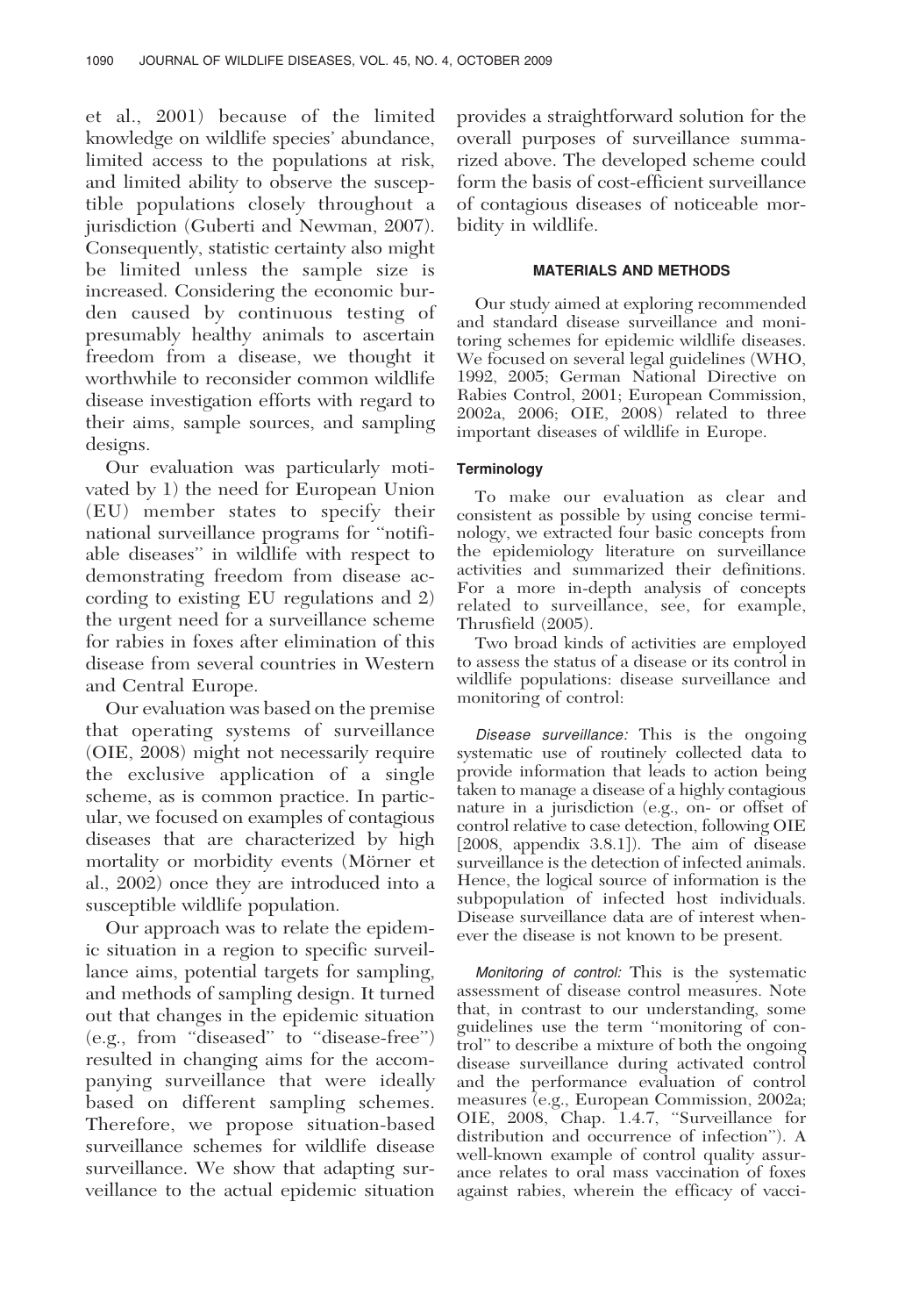et al., 2001) because of the limited knowledge on wildlife species' abundance, limited access to the populations at risk, and limited ability to observe the susceptible populations closely throughout a jurisdiction (Guberti and Newman, 2007). Consequently, statistic certainty also might be limited unless the sample size is increased. Considering the economic burden caused by continuous testing of presumably healthy animals to ascertain freedom from a disease, we thought it worthwhile to reconsider common wildlife disease investigation efforts with regard to their aims, sample sources, and sampling designs.

Our evaluation was particularly motivated by 1) the need for European Union (EU) member states to specify their national surveillance programs for ''notifiable diseases'' in wildlife with respect to demonstrating freedom from disease according to existing EU regulations and 2) the urgent need for a surveillance scheme for rabies in foxes after elimination of this disease from several countries in Western and Central Europe.

Our evaluation was based on the premise that operating systems of surveillance (OIE, 2008) might not necessarily require the exclusive application of a single scheme, as is common practice. In particular, we focused on examples of contagious diseases that are characterized by high mortality or morbidity events (Mörner et al., 2002) once they are introduced into a susceptible wildlife population.

Our approach was to relate the epidemic situation in a region to specific surveillance aims, potential targets for sampling, and methods of sampling design. It turned out that changes in the epidemic situation (e.g., from ''diseased'' to ''disease-free'') resulted in changing aims for the accompanying surveillance that were ideally based on different sampling schemes. Therefore, we propose situation-based surveillance schemes for wildlife disease surveillance. We show that adapting surveillance to the actual epidemic situation

provides a straightforward solution for the overall purposes of surveillance summarized above. The developed scheme could form the basis of cost-efficient surveillance of contagious diseases of noticeable morbidity in wildlife.

# MATERIALS AND METHODS

Our study aimed at exploring recommended and standard disease surveillance and monitoring schemes for epidemic wildlife diseases. We focused on several legal guidelines (WHO, 1992, 2005; German National Directive on Rabies Control, 2001; European Commission, 2002a, 2006; OIE, 2008) related to three important diseases of wildlife in Europe.

# **Terminology**

To make our evaluation as clear and consistent as possible by using concise terminology, we extracted four basic concepts from the epidemiology literature on surveillance activities and summarized their definitions. For a more in-depth analysis of concepts related to surveillance, see, for example, Thrusfield (2005).

Two broad kinds of activities are employed to assess the status of a disease or its control in wildlife populations: disease surveillance and monitoring of control:

Disease surveillance: This is the ongoing systematic use of routinely collected data to provide information that leads to action being taken to manage a disease of a highly contagious nature in a jurisdiction (e.g., on- or offset of control relative to case detection, following OIE [2008, appendix 3.8.1]). The aim of disease surveillance is the detection of infected animals. Hence, the logical source of information is the subpopulation of infected host individuals. Disease surveillance data are of interest whenever the disease is not known to be present.

Monitoring of control: This is the systematic assessment of disease control measures. Note that, in contrast to our understanding, some guidelines use the term ''monitoring of control'' to describe a mixture of both the ongoing disease surveillance during activated control and the performance evaluation of control measures (e.g., European Commission, 2002a; OIE, 2008, Chap. 1.4.7, "Surveillance for distribution and occurrence of infection''). A well-known example of control quality assurance relates to oral mass vaccination of foxes against rabies, wherein the efficacy of vacci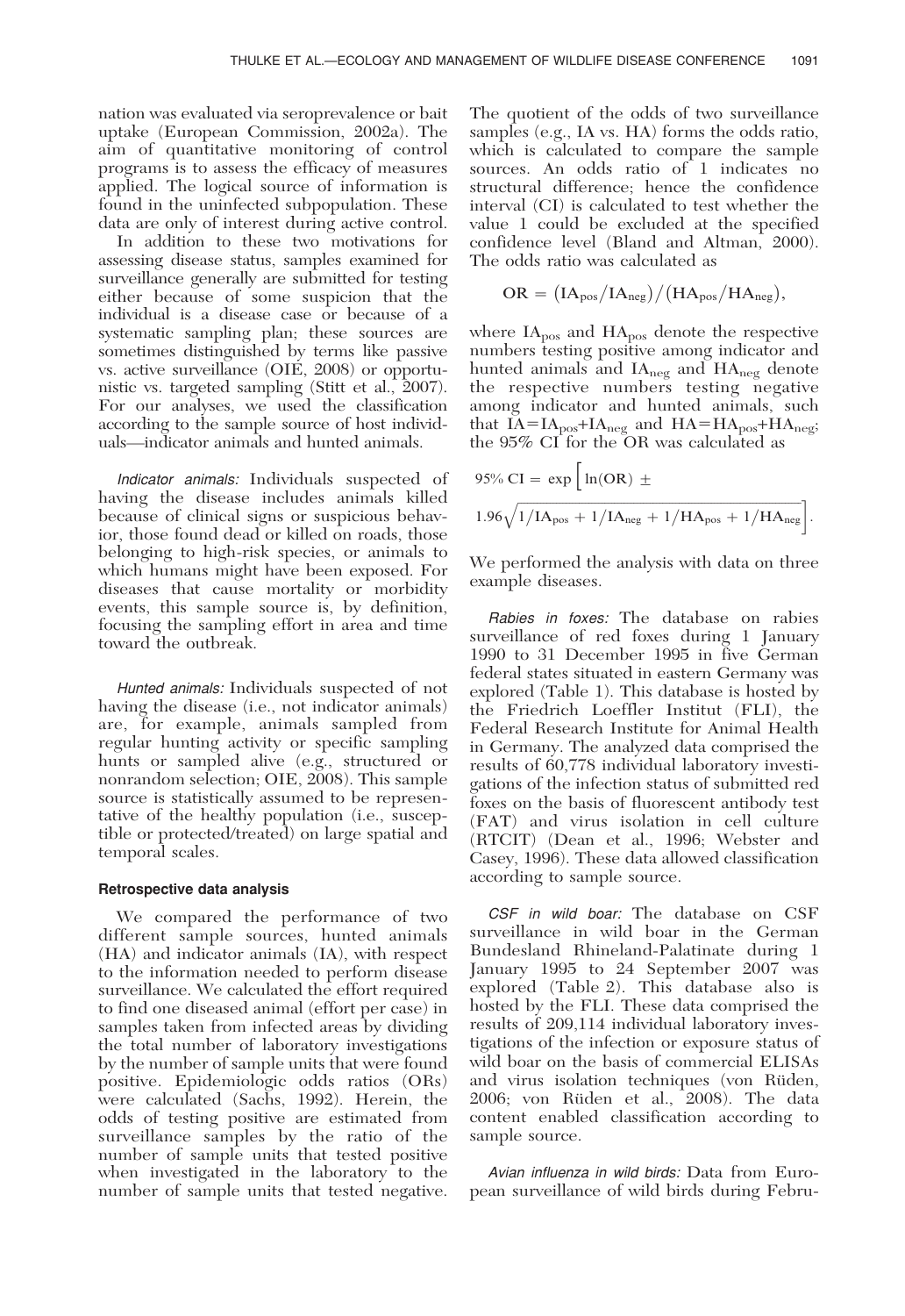nation was evaluated via seroprevalence or bait uptake (European Commission, 2002a). The aim of quantitative monitoring of control programs is to assess the efficacy of measures applied. The logical source of information is found in the uninfected subpopulation. These data are only of interest during active control.

In addition to these two motivations for assessing disease status, samples examined for surveillance generally are submitted for testing either because of some suspicion that the individual is a disease case or because of a systematic sampling plan; these sources are sometimes distinguished by terms like passive vs. active surveillance (OIE, 2008) or opportunistic vs. targeted sampling (Stitt et al., 2007). For our analyses, we used the classification according to the sample source of host individuals—indicator animals and hunted animals.

Indicator animals: Individuals suspected of having the disease includes animals killed because of clinical signs or suspicious behavior, those found dead or killed on roads, those belonging to high-risk species, or animals to which humans might have been exposed. For diseases that cause mortality or morbidity events, this sample source is, by definition, focusing the sampling effort in area and time toward the outbreak.

Hunted animals: Individuals suspected of not having the disease (i.e., not indicator animals) are, for example, animals sampled from regular hunting activity or specific sampling hunts or sampled alive (e.g., structured or nonrandom selection; OIE, 2008). This sample source is statistically assumed to be representative of the healthy population (i.e., susceptible or protected/treated) on large spatial and temporal scales.

#### Retrospective data analysis

We compared the performance of two different sample sources, hunted animals (HA) and indicator animals (IA), with respect to the information needed to perform disease surveillance. We calculated the effort required to find one diseased animal (effort per case) in samples taken from infected areas by dividing the total number of laboratory investigations by the number of sample units that were found positive. Epidemiologic odds ratios (ORs) were calculated (Sachs, 1992). Herein, the odds of testing positive are estimated from surveillance samples by the ratio of the number of sample units that tested positive when investigated in the laboratory to the number of sample units that tested negative.

The quotient of the odds of two surveillance samples (e.g., IA vs. HA) forms the odds ratio, which is calculated to compare the sample sources. An odds ratio of 1 indicates no structural difference; hence the confidence interval (CI) is calculated to test whether the value 1 could be excluded at the specified confidence level (Bland and Altman, 2000). The odds ratio was calculated as

$$
OR = (IA_{pos}/IA_{neg})/(HA_{pos}/HA_{neg}),
$$

where  $IA<sub>pos</sub>$  and  $HA<sub>pos</sub>$  denote the respective numbers testing positive among indicator and hunted animals and  $IA_{\text{neg}}$  and  $HA_{\text{neg}}$  denote the respective numbers testing negative among indicator and hunted animals, such that  $IA = IA_{pos} + IA_{neg}$  and  $HA = HA_{pos} + HA_{neg}$ ; the 95% CI for the OR was calculated as

95% CI = exp 
$$
\left[ ln(OR) \pm
$$
  
1.96 $\sqrt{1/IA_{pos} + 1/IA_{neg} + 1/HA_{pos} + 1/HA_{neg}} \right].$ 

We performed the analysis with data on three example diseases.

Rabies in foxes: The database on rabies surveillance of red foxes during 1 January 1990 to 31 December 1995 in five German federal states situated in eastern Germany was explored (Table 1). This database is hosted by the Friedrich Loeffler Institut (FLI), the Federal Research Institute for Animal Health in Germany. The analyzed data comprised the results of 60,778 individual laboratory investigations of the infection status of submitted red foxes on the basis of fluorescent antibody test (FAT) and virus isolation in cell culture (RTCIT) (Dean et al., 1996; Webster and Casey, 1996). These data allowed classification according to sample source.

CSF in wild boar: The database on CSF surveillance in wild boar in the German Bundesland Rhineland-Palatinate during 1 January 1995 to 24 September 2007 was explored (Table 2). This database also is hosted by the FLI. These data comprised the results of 209,114 individual laboratory investigations of the infection or exposure status of wild boar on the basis of commercial ELISAs and virus isolation techniques (von Rüden, 2006; von Rüden et al., 2008). The data content enabled classification according to sample source.

Avian influenza in wild birds: Data from European surveillance of wild birds during Febru-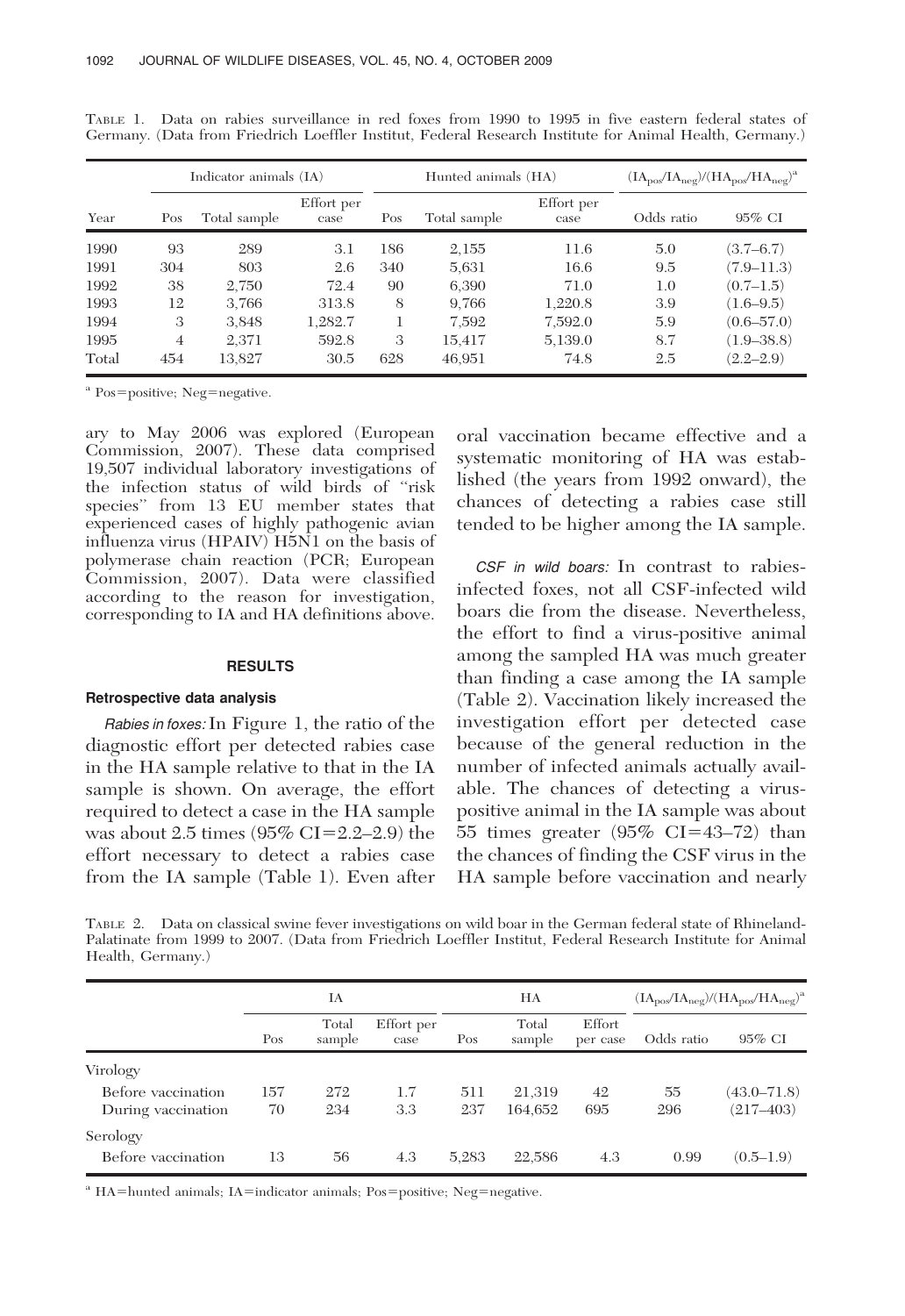|       | Indicator animals (IA) |              |                    |               | Hunted animals (HA) | $(\text{IA}_{\text{pos}}/\text{IA}_{\text{neg}})/(\text{HA}_{\text{pos}}/\text{HA}_{\text{neg}})^{a}$ |            |                |
|-------|------------------------|--------------|--------------------|---------------|---------------------|-------------------------------------------------------------------------------------------------------|------------|----------------|
| Year  | Pos                    | Total sample | Effort per<br>case | Pos           | Total sample        | Effort per<br>case                                                                                    | Odds ratio | $95\%$ CI      |
| 1990  | 93                     | 289          | 3.1                | 186           | 2,155               | 11.6                                                                                                  | 5.0        | $(3.7 - 6.7)$  |
| 1991  | 304                    | 803          | 2.6                | 340           | 5,631               | 16.6                                                                                                  | 9.5        | $(7.9 - 11.3)$ |
| 1992  | 38                     | 2.750        | 72.4               | 90            | 6,390               | 71.0                                                                                                  | 1.0        | (0.7–1.5)      |
| 1993  | 12                     | 3.766        | 313.8              | 8             | 9.766               | 1,220.8                                                                                               | 3.9        | $(1.6 - 9.5)$  |
| 1994  | 3                      | 3,848        | 1,282.7            |               | 7.592               | 7,592.0                                                                                               | 5.9        | $(0.6 - 57.0)$ |
| 1995  | $\overline{4}$         | 2,371        | 592.8              | $\mathcal{S}$ | 15,417              | 5,139.0                                                                                               | 8.7        | $(1.9 - 38.8)$ |
| Total | 454                    | 13,827       | 30.5               | 628           | 46.951              | 74.8                                                                                                  | 2.5        | $(2.2 - 2.9)$  |

TABLE 1. Data on rabies surveillance in red foxes from 1990 to 1995 in five eastern federal states of Germany. (Data from Friedrich Loeffler Institut, Federal Research Institute for Animal Health, Germany.)

<sup>a</sup> Pos=positive; Neg=negative.

ary to May 2006 was explored (European Commission, 2007). These data comprised 19,507 individual laboratory investigations of the infection status of wild birds of ''risk species'' from 13 EU member states that experienced cases of highly pathogenic avian influenza virus  $(HPAIV)$   $H5N1$  on the basis of polymerase chain reaction (PCR; European Commission, 2007). Data were classified according to the reason for investigation, corresponding to IA and HA definitions above.

## RESULTS

## Retrospective data analysis

Rabies in foxes:In Figure 1, the ratio of the diagnostic effort per detected rabies case in the HA sample relative to that in the IA sample is shown. On average, the effort required to detect a case in the HA sample was about 2.5 times  $(95\% \text{ CI} = 2.2-2.9)$  the effort necessary to detect a rabies case from the IA sample (Table 1). Even after oral vaccination became effective and a systematic monitoring of HA was established (the years from 1992 onward), the chances of detecting a rabies case still tended to be higher among the IA sample.

CSF in wild boars: In contrast to rabiesinfected foxes, not all CSF-infected wild boars die from the disease. Nevertheless, the effort to find a virus-positive animal among the sampled HA was much greater than finding a case among the IA sample (Table 2). Vaccination likely increased the investigation effort per detected case because of the general reduction in the number of infected animals actually available. The chances of detecting a viruspositive animal in the IA sample was about 55 times greater  $(95\% \text{ CI} = 43-72)$  than the chances of finding the CSF virus in the HA sample before vaccination and nearly

TABLE 2. Data on classical swine fever investigations on wild boar in the German federal state of Rhineland-Palatinate from 1999 to 2007. (Data from Friedrich Loeffler Institut, Federal Research Institute for Animal Health, Germany.)

|                    | IA  |                 |                    | НA    |                 |                    | $(IApos/IAneg)/(HApos/HAneg)a$ |                 |
|--------------------|-----|-----------------|--------------------|-------|-----------------|--------------------|--------------------------------|-----------------|
|                    | Pos | Total<br>sample | Effort per<br>case | Pos   | Total<br>sample | Effort<br>per case | Odds ratio                     | 95% CI          |
| Virology           |     |                 |                    |       |                 |                    |                                |                 |
| Before vaccination | 157 | 272             | 1.7                | 511   | 21,319          | 42                 | 55                             | $(43.0 - 71.8)$ |
| During vaccination | 70  | 234             | 3.3                | 237   | 164,652         | 695                | 296                            | $(217 - 403)$   |
| Serology           |     |                 |                    |       |                 |                    |                                |                 |
| Before vaccination | 13  | 56              | 4.3                | 5,283 | 22,586          | 4.3                | 0.99                           | $(0.5-1.9)$     |

<sup>a</sup> HA=hunted animals; IA=indicator animals; Pos=positive; Neg=negative.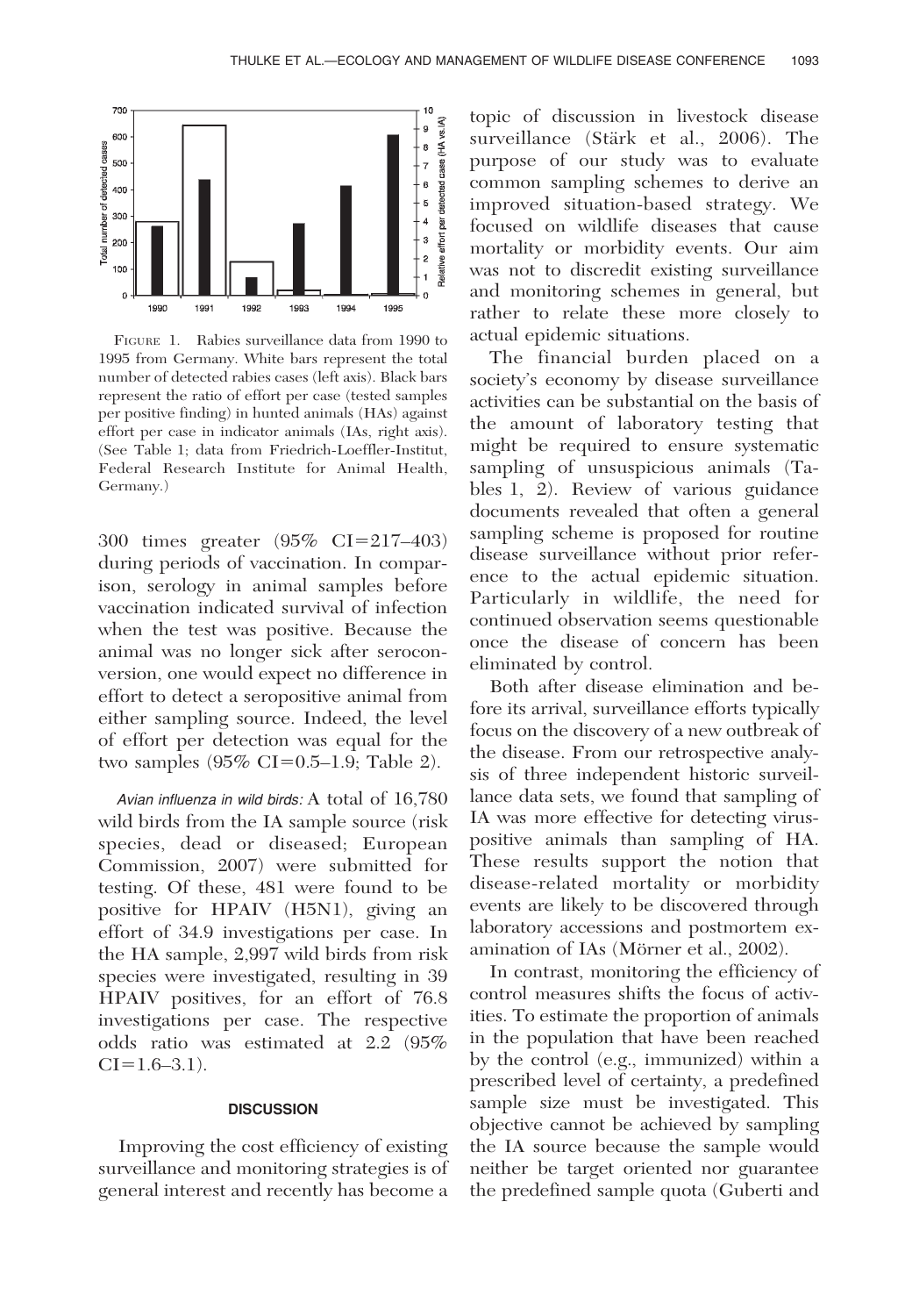

FIGURE 1. Rabies surveillance data from 1990 to 1995 from Germany. White bars represent the total number of detected rabies cases (left axis). Black bars represent the ratio of effort per case (tested samples per positive finding) in hunted animals (HAs) against effort per case in indicator animals (IAs, right axis). (See Table 1; data from Friedrich-Loeffler-Institut, Federal Research Institute for Animal Health, Germany.)

300 times greater (95% CI=217-403) during periods of vaccination. In comparison, serology in animal samples before vaccination indicated survival of infection when the test was positive. Because the animal was no longer sick after seroconversion, one would expect no difference in effort to detect a seropositive animal from either sampling source. Indeed, the level of effort per detection was equal for the two samples  $(95\% \text{ CI} = 0.5-1.9; \text{Table 2}).$ 

Avian influenza in wild birds: A total of 16,780 wild birds from the IA sample source (risk species, dead or diseased; European Commission, 2007) were submitted for testing. Of these, 481 were found to be positive for HPAIV (H5N1), giving an effort of 34.9 investigations per case. In the HA sample, 2,997 wild birds from risk species were investigated, resulting in 39 HPAIV positives, for an effort of 76.8 investigations per case. The respective odds ratio was estimated at 2.2 (95%  $CI=1.6-3.1$ ).

## **DISCUSSION**

Improving the cost efficiency of existing surveillance and monitoring strategies is of general interest and recently has become a

topic of discussion in livestock disease surveillance (Stärk et al., 2006). The purpose of our study was to evaluate common sampling schemes to derive an improved situation-based strategy. We focused on wildlife diseases that cause mortality or morbidity events. Our aim was not to discredit existing surveillance and monitoring schemes in general, but rather to relate these more closely to actual epidemic situations.

The financial burden placed on a society's economy by disease surveillance activities can be substantial on the basis of the amount of laboratory testing that might be required to ensure systematic sampling of unsuspicious animals (Tables 1, 2). Review of various guidance documents revealed that often a general sampling scheme is proposed for routine disease surveillance without prior reference to the actual epidemic situation. Particularly in wildlife, the need for continued observation seems questionable once the disease of concern has been eliminated by control.

Both after disease elimination and before its arrival, surveillance efforts typically focus on the discovery of a new outbreak of the disease. From our retrospective analysis of three independent historic surveillance data sets, we found that sampling of IA was more effective for detecting viruspositive animals than sampling of HA. These results support the notion that disease-related mortality or morbidity events are likely to be discovered through laboratory accessions and postmortem examination of IAs (Mörner et al., 2002).

In contrast, monitoring the efficiency of control measures shifts the focus of activities. To estimate the proportion of animals in the population that have been reached by the control (e.g., immunized) within a prescribed level of certainty, a predefined sample size must be investigated. This objective cannot be achieved by sampling the IA source because the sample would neither be target oriented nor guarantee the predefined sample quota (Guberti and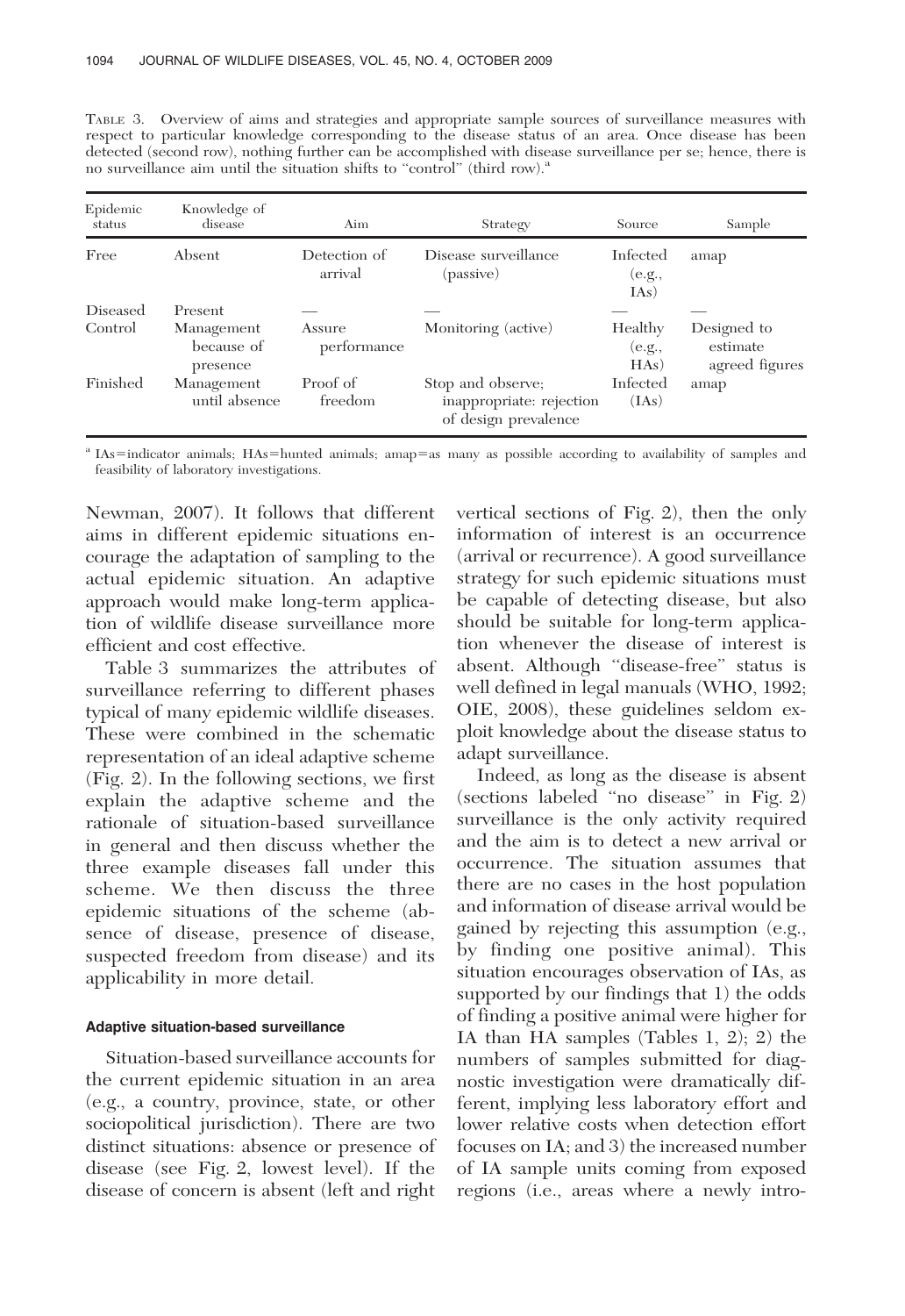TABLE 3. Overview of aims and strategies and appropriate sample sources of surveillance measures with respect to particular knowledge corresponding to the disease status of an area. Once disease has been detected (second row), nothing further can be accomplished with disease surveillance per se; hence, there is no surveillance aim until the situation shifts to "control" (third row).<sup>a</sup>

| Epidemic<br>status | Knowledge of<br>disease              | Aim                     | Strategy                                                              | Source                     | Sample                                    |
|--------------------|--------------------------------------|-------------------------|-----------------------------------------------------------------------|----------------------------|-------------------------------------------|
| Free               | Absent                               | Detection of<br>arrival | Disease surveillance<br>(passive)                                     | Infected<br>(e.g.,<br>[As] | amap                                      |
| Diseased           | Present                              |                         |                                                                       |                            |                                           |
| Control            | Management<br>because of<br>presence | Assure<br>performance   | Monitoring (active)                                                   | Healthy<br>(e.g.,<br>HAs)  | Designed to<br>estimate<br>agreed figures |
| Finished           | Management<br>until absence          | Proof of<br>freedom     | Stop and observe;<br>inappropriate: rejection<br>of design prevalence | Infected<br>(IAs)          | amap                                      |

<sup>a</sup> IAs=indicator animals; HAs=hunted animals; amap=as many as possible according to availability of samples and feasibility of laboratory investigations.

Newman, 2007). It follows that different aims in different epidemic situations encourage the adaptation of sampling to the actual epidemic situation. An adaptive approach would make long-term application of wildlife disease surveillance more efficient and cost effective.

Table 3 summarizes the attributes of surveillance referring to different phases typical of many epidemic wildlife diseases. These were combined in the schematic representation of an ideal adaptive scheme (Fig. 2). In the following sections, we first explain the adaptive scheme and the rationale of situation-based surveillance in general and then discuss whether the three example diseases fall under this scheme. We then discuss the three epidemic situations of the scheme (absence of disease, presence of disease, suspected freedom from disease) and its applicability in more detail.

## Adaptive situation-based surveillance

Situation-based surveillance accounts for the current epidemic situation in an area (e.g., a country, province, state, or other sociopolitical jurisdiction). There are two distinct situations: absence or presence of disease (see Fig. 2, lowest level). If the disease of concern is absent (left and right

vertical sections of Fig. 2), then the only information of interest is an occurrence (arrival or recurrence). A good surveillance strategy for such epidemic situations must be capable of detecting disease, but also should be suitable for long-term application whenever the disease of interest is absent. Although ''disease-free'' status is well defined in legal manuals (WHO, 1992; OIE, 2008), these guidelines seldom exploit knowledge about the disease status to adapt surveillance.

Indeed, as long as the disease is absent (sections labeled ''no disease'' in Fig. 2) surveillance is the only activity required and the aim is to detect a new arrival or occurrence. The situation assumes that there are no cases in the host population and information of disease arrival would be gained by rejecting this assumption (e.g., by finding one positive animal). This situation encourages observation of IAs, as supported by our findings that 1) the odds of finding a positive animal were higher for IA than HA samples (Tables 1, 2); 2) the numbers of samples submitted for diagnostic investigation were dramatically different, implying less laboratory effort and lower relative costs when detection effort focuses on IA; and 3) the increased number of IA sample units coming from exposed regions (i.e., areas where a newly intro-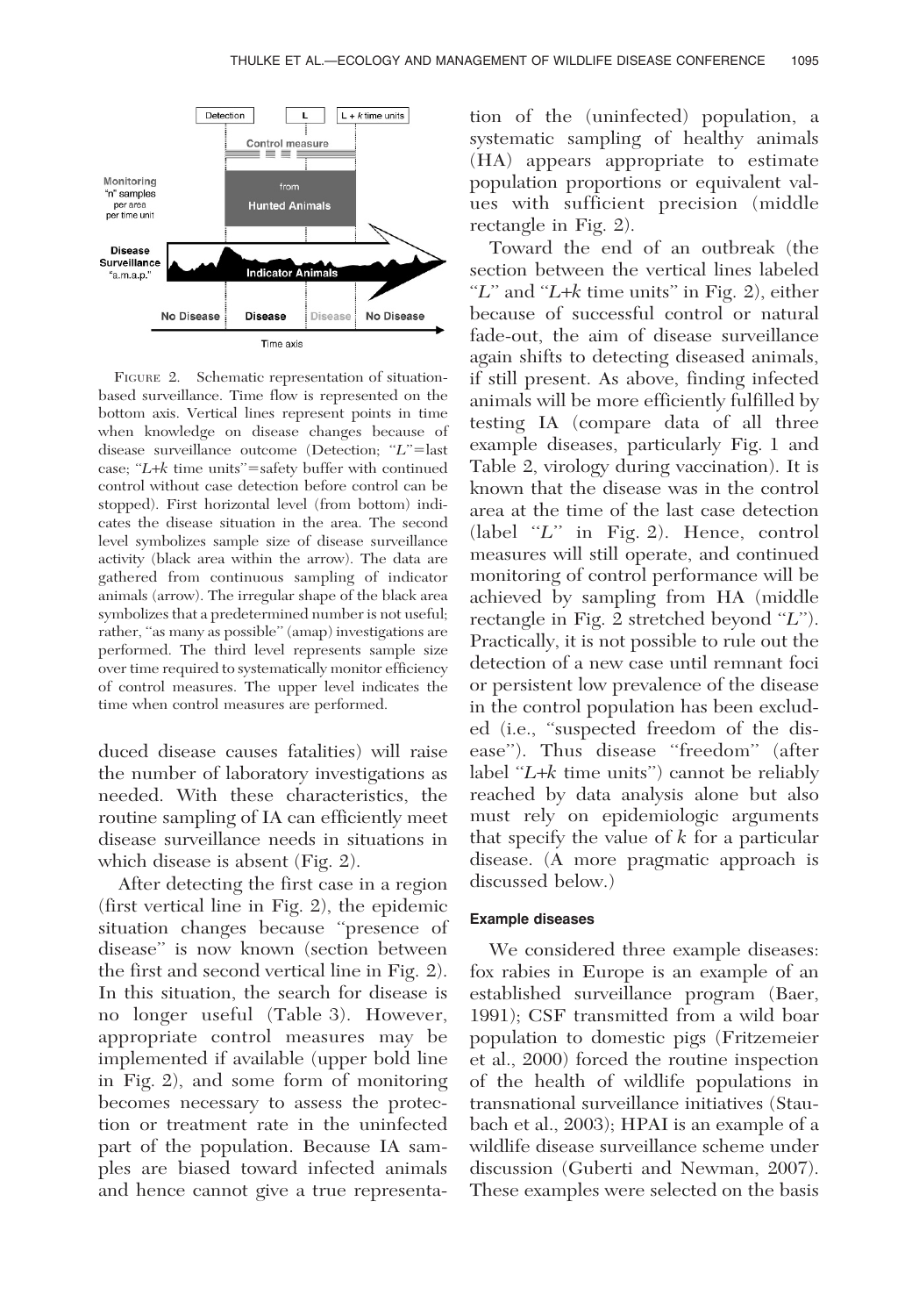

FIGURE 2. Schematic representation of situationbased surveillance. Time flow is represented on the bottom axis. Vertical lines represent points in time when knowledge on disease changes because of disease surveillance outcome (Detection; "L"=last case;  $'L+k$  time units"=safety buffer with continued control without case detection before control can be stopped). First horizontal level (from bottom) indicates the disease situation in the area. The second level symbolizes sample size of disease surveillance activity (black area within the arrow). The data are gathered from continuous sampling of indicator animals (arrow). The irregular shape of the black area symbolizes that a predetermined number is not useful; rather, "as many as possible" (amap) investigations are performed. The third level represents sample size over time required to systematically monitor efficiency of control measures. The upper level indicates the time when control measures are performed.

duced disease causes fatalities) will raise the number of laboratory investigations as needed. With these characteristics, the routine sampling of IA can efficiently meet disease surveillance needs in situations in which disease is absent (Fig. 2).

After detecting the first case in a region (first vertical line in Fig. 2), the epidemic situation changes because ''presence of disease'' is now known (section between the first and second vertical line in Fig. 2). In this situation, the search for disease is no longer useful (Table 3). However, appropriate control measures may be implemented if available (upper bold line in Fig. 2), and some form of monitoring becomes necessary to assess the protection or treatment rate in the uninfected part of the population. Because IA samples are biased toward infected animals and hence cannot give a true representa-

tion of the (uninfected) population, a systematic sampling of healthy animals (HA) appears appropriate to estimate population proportions or equivalent values with sufficient precision (middle rectangle in Fig. 2).

Toward the end of an outbreak (the section between the vertical lines labeled " $L$ " and " $L+k$  time units" in Fig. 2), either because of successful control or natural fade-out, the aim of disease surveillance again shifts to detecting diseased animals, if still present. As above, finding infected animals will be more efficiently fulfilled by testing IA (compare data of all three example diseases, particularly Fig. 1 and Table 2, virology during vaccination). It is known that the disease was in the control area at the time of the last case detection  $(label "L" in Fig. 2). Hence, control$ measures will still operate, and continued monitoring of control performance will be achieved by sampling from HA (middle rectangle in Fig. 2 stretched beyond "L"). Practically, it is not possible to rule out the detection of a new case until remnant foci or persistent low prevalence of the disease in the control population has been excluded (i.e., ''suspected freedom of the disease"). Thus disease "freedom" (after label " $L+k$  time units") cannot be reliably reached by data analysis alone but also must rely on epidemiologic arguments that specify the value of  $k$  for a particular disease. (A more pragmatic approach is discussed below.)

## Example diseases

We considered three example diseases: fox rabies in Europe is an example of an established surveillance program (Baer, 1991); CSF transmitted from a wild boar population to domestic pigs (Fritzemeier et al., 2000) forced the routine inspection of the health of wildlife populations in transnational surveillance initiatives (Staubach et al., 2003); HPAI is an example of a wildlife disease surveillance scheme under discussion (Guberti and Newman, 2007). These examples were selected on the basis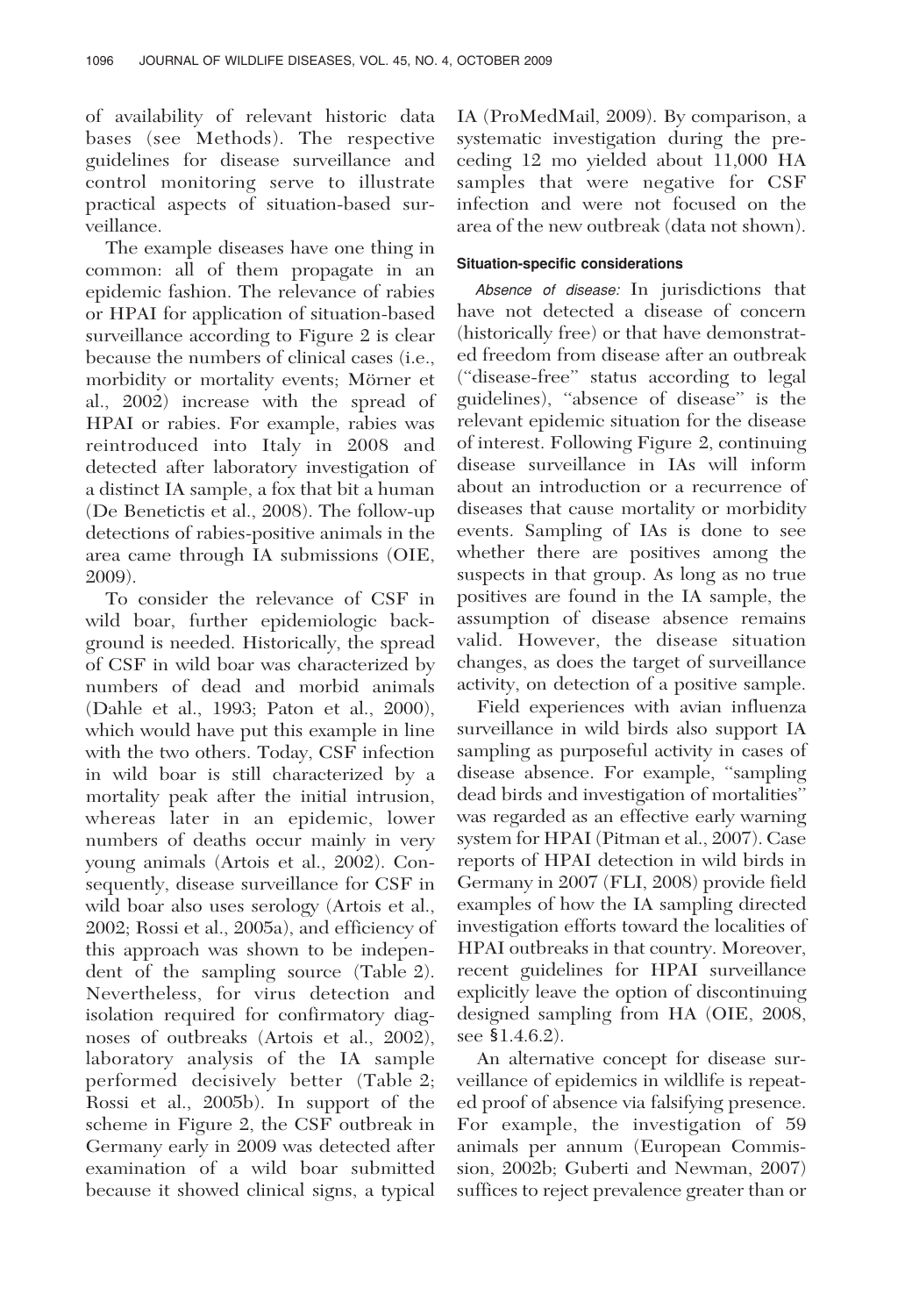of availability of relevant historic data bases (see Methods). The respective guidelines for disease surveillance and control monitoring serve to illustrate practical aspects of situation-based surveillance.

The example diseases have one thing in common: all of them propagate in an epidemic fashion. The relevance of rabies or HPAI for application of situation-based surveillance according to Figure 2 is clear because the numbers of clinical cases (i.e., morbidity or mortality events; Mörner et al., 2002) increase with the spread of HPAI or rabies. For example, rabies was reintroduced into Italy in 2008 and detected after laboratory investigation of a distinct IA sample, a fox that bit a human (De Benetictis et al., 2008). The follow-up detections of rabies-positive animals in the area came through IA submissions (OIE, 2009).

To consider the relevance of CSF in wild boar, further epidemiologic background is needed. Historically, the spread of CSF in wild boar was characterized by numbers of dead and morbid animals (Dahle et al., 1993; Paton et al., 2000), which would have put this example in line with the two others. Today, CSF infection in wild boar is still characterized by a mortality peak after the initial intrusion, whereas later in an epidemic, lower numbers of deaths occur mainly in very young animals (Artois et al., 2002). Consequently, disease surveillance for CSF in wild boar also uses serology (Artois et al., 2002; Rossi et al., 2005a), and efficiency of this approach was shown to be independent of the sampling source (Table 2). Nevertheless, for virus detection and isolation required for confirmatory diagnoses of outbreaks (Artois et al., 2002), laboratory analysis of the IA sample performed decisively better (Table 2; Rossi et al., 2005b). In support of the scheme in Figure 2, the CSF outbreak in Germany early in 2009 was detected after examination of a wild boar submitted because it showed clinical signs, a typical

IA (ProMedMail, 2009). By comparison, a systematic investigation during the preceding 12 mo yielded about 11,000 HA samples that were negative for CSF infection and were not focused on the area of the new outbreak (data not shown).

# Situation-specific considerations

Absence of disease: In jurisdictions that have not detected a disease of concern (historically free) or that have demonstrated freedom from disease after an outbreak (''disease-free'' status according to legal guidelines), ''absence of disease'' is the relevant epidemic situation for the disease of interest. Following Figure 2, continuing disease surveillance in IAs will inform about an introduction or a recurrence of diseases that cause mortality or morbidity events. Sampling of IAs is done to see whether there are positives among the suspects in that group. As long as no true positives are found in the IA sample, the assumption of disease absence remains valid. However, the disease situation changes, as does the target of surveillance activity, on detection of a positive sample.

Field experiences with avian influenza surveillance in wild birds also support IA sampling as purposeful activity in cases of disease absence. For example, ''sampling dead birds and investigation of mortalities'' was regarded as an effective early warning system for HPAI (Pitman et al., 2007). Case reports of HPAI detection in wild birds in Germany in 2007 (FLI, 2008) provide field examples of how the IA sampling directed investigation efforts toward the localities of HPAI outbreaks in that country. Moreover, recent guidelines for HPAI surveillance explicitly leave the option of discontinuing designed sampling from HA (OIE, 2008, see  $$1.4.6.2$ ).

An alternative concept for disease surveillance of epidemics in wildlife is repeated proof of absence via falsifying presence. For example, the investigation of 59 animals per annum (European Commission, 2002b; Guberti and Newman, 2007) suffices to reject prevalence greater than or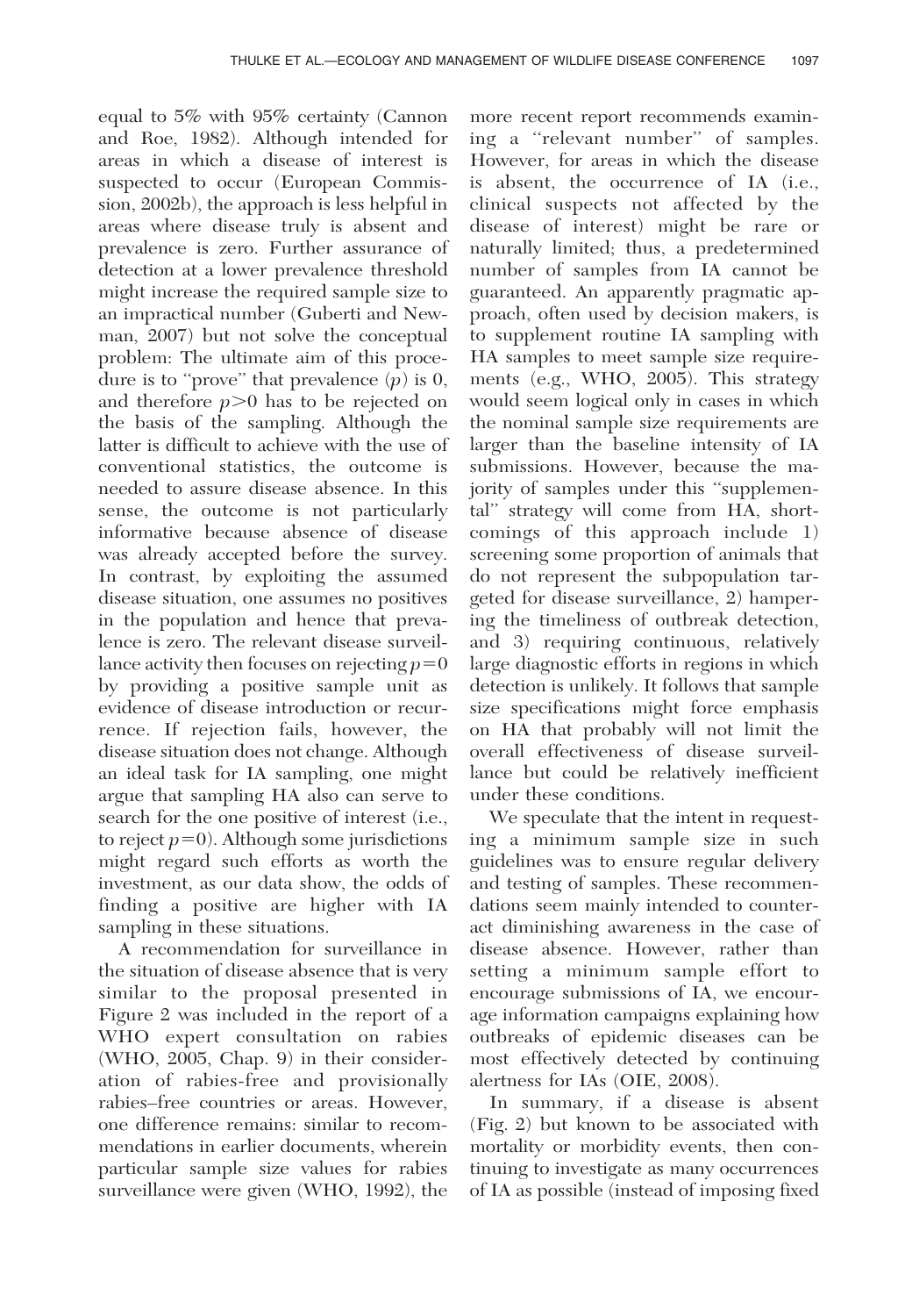equal to 5% with 95% certainty (Cannon and Roe, 1982). Although intended for areas in which a disease of interest is suspected to occur (European Commission, 2002b), the approach is less helpful in areas where disease truly is absent and prevalence is zero. Further assurance of detection at a lower prevalence threshold might increase the required sample size to an impractical number (Guberti and Newman, 2007) but not solve the conceptual problem: The ultimate aim of this procedure is to "prove" that prevalence  $(p)$  is 0, and therefore  $p>0$  has to be rejected on the basis of the sampling. Although the latter is difficult to achieve with the use of conventional statistics, the outcome is needed to assure disease absence. In this sense, the outcome is not particularly informative because absence of disease was already accepted before the survey. In contrast, by exploiting the assumed disease situation, one assumes no positives in the population and hence that prevalence is zero. The relevant disease surveillance activity then focuses on rejecting  $p=0$ by providing a positive sample unit as evidence of disease introduction or recurrence. If rejection fails, however, the disease situation does not change. Although an ideal task for IA sampling, one might argue that sampling HA also can serve to search for the one positive of interest (i.e., to reject  $p=0$ ). Although some jurisdictions might regard such efforts as worth the investment, as our data show, the odds of finding a positive are higher with IA sampling in these situations.

A recommendation for surveillance in the situation of disease absence that is very similar to the proposal presented in Figure 2 was included in the report of a WHO expert consultation on rabies (WHO, 2005, Chap. 9) in their consideration of rabies-free and provisionally rabies–free countries or areas. However, one difference remains: similar to recommendations in earlier documents, wherein particular sample size values for rabies surveillance were given (WHO, 1992), the

more recent report recommends examining a ''relevant number'' of samples. However, for areas in which the disease is absent, the occurrence of IA (i.e., clinical suspects not affected by the disease of interest) might be rare or naturally limited; thus, a predetermined number of samples from IA cannot be guaranteed. An apparently pragmatic approach, often used by decision makers, is to supplement routine IA sampling with HA samples to meet sample size requirements (e.g., WHO, 2005). This strategy would seem logical only in cases in which the nominal sample size requirements are larger than the baseline intensity of IA submissions. However, because the majority of samples under this ''supplemental'' strategy will come from HA, shortcomings of this approach include 1) screening some proportion of animals that do not represent the subpopulation targeted for disease surveillance, 2) hampering the timeliness of outbreak detection, and 3) requiring continuous, relatively large diagnostic efforts in regions in which detection is unlikely. It follows that sample size specifications might force emphasis on HA that probably will not limit the overall effectiveness of disease surveillance but could be relatively inefficient under these conditions.

We speculate that the intent in requesting a minimum sample size in such guidelines was to ensure regular delivery and testing of samples. These recommendations seem mainly intended to counteract diminishing awareness in the case of disease absence. However, rather than setting a minimum sample effort to encourage submissions of IA, we encourage information campaigns explaining how outbreaks of epidemic diseases can be most effectively detected by continuing alertness for IAs (OIE, 2008).

In summary, if a disease is absent (Fig. 2) but known to be associated with mortality or morbidity events, then continuing to investigate as many occurrences of IA as possible (instead of imposing fixed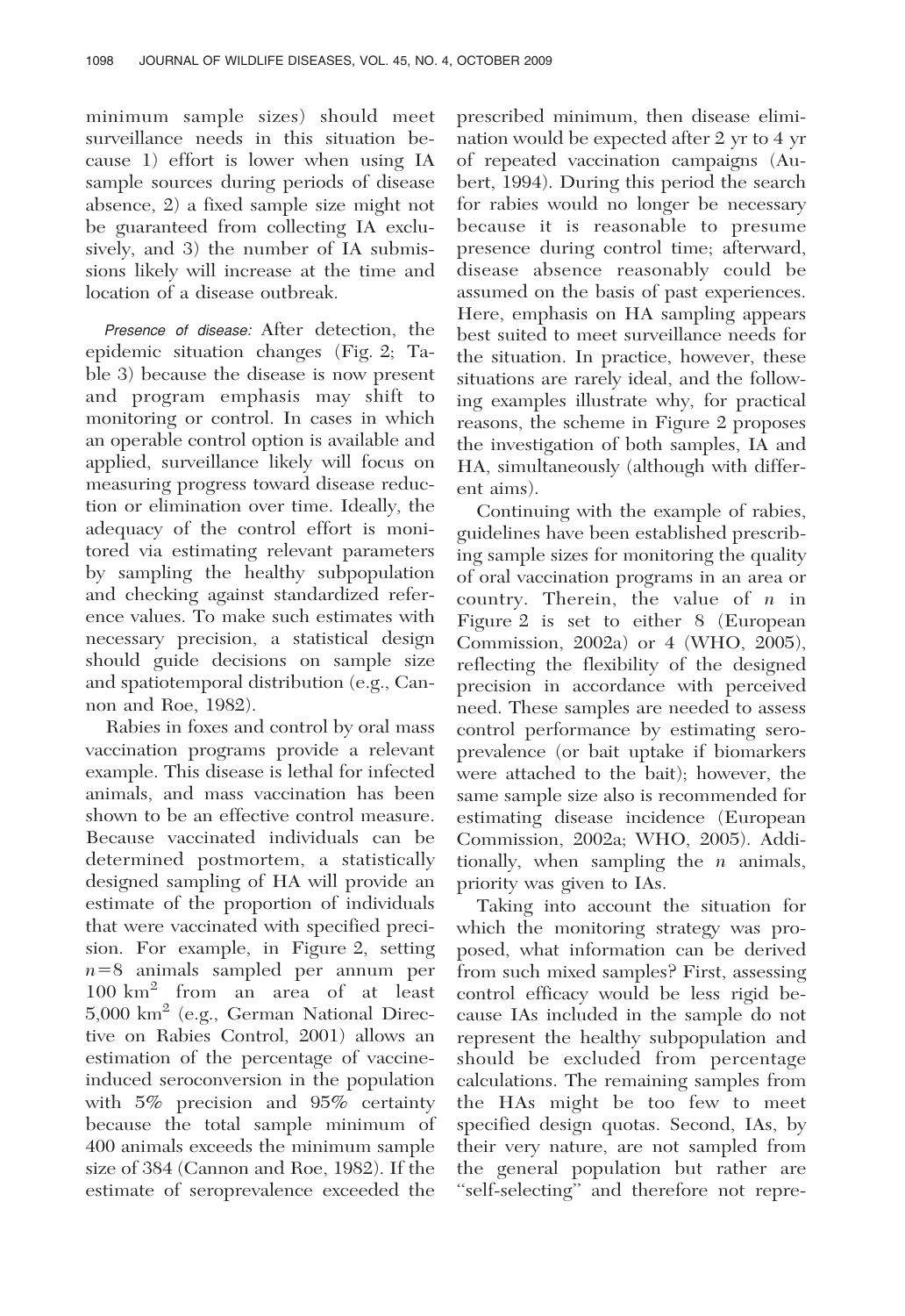minimum sample sizes) should meet surveillance needs in this situation because 1) effort is lower when using IA sample sources during periods of disease absence, 2) a fixed sample size might not be guaranteed from collecting IA exclusively, and 3) the number of IA submissions likely will increase at the time and location of a disease outbreak.

Presence of disease: After detection, the epidemic situation changes (Fig. 2; Table 3) because the disease is now present and program emphasis may shift to monitoring or control. In cases in which an operable control option is available and applied, surveillance likely will focus on measuring progress toward disease reduction or elimination over time. Ideally, the adequacy of the control effort is monitored via estimating relevant parameters by sampling the healthy subpopulation and checking against standardized reference values. To make such estimates with necessary precision, a statistical design should guide decisions on sample size and spatiotemporal distribution (e.g., Cannon and Roe, 1982).

Rabies in foxes and control by oral mass vaccination programs provide a relevant example. This disease is lethal for infected animals, and mass vaccination has been shown to be an effective control measure. Because vaccinated individuals can be determined postmortem, a statistically designed sampling of HA will provide an estimate of the proportion of individuals that were vaccinated with specified precision. For example, in Figure 2, setting  $n=8$  animals sampled per annum per 100 km<sup>2</sup> from an area of at least 5,000 km2 (e.g., German National Directive on Rabies Control, 2001) allows an estimation of the percentage of vaccineinduced seroconversion in the population with 5% precision and 95% certainty because the total sample minimum of 400 animals exceeds the minimum sample size of 384 (Cannon and Roe, 1982). If the estimate of seroprevalence exceeded the

prescribed minimum, then disease elimination would be expected after 2 yr to 4 yr of repeated vaccination campaigns (Aubert, 1994). During this period the search for rabies would no longer be necessary because it is reasonable to presume presence during control time; afterward, disease absence reasonably could be assumed on the basis of past experiences. Here, emphasis on HA sampling appears best suited to meet surveillance needs for the situation. In practice, however, these situations are rarely ideal, and the following examples illustrate why, for practical reasons, the scheme in Figure 2 proposes the investigation of both samples, IA and HA, simultaneously (although with different aims).

Continuing with the example of rabies, guidelines have been established prescribing sample sizes for monitoring the quality of oral vaccination programs in an area or country. Therein, the value of  $n$  in Figure 2 is set to either 8 (European Commission, 2002a) or 4 (WHO, 2005), reflecting the flexibility of the designed precision in accordance with perceived need. These samples are needed to assess control performance by estimating seroprevalence (or bait uptake if biomarkers were attached to the bait); however, the same sample size also is recommended for estimating disease incidence (European Commission, 2002a; WHO, 2005). Additionally, when sampling the  $n$  animals, priority was given to IAs.

Taking into account the situation for which the monitoring strategy was proposed, what information can be derived from such mixed samples? First, assessing control efficacy would be less rigid because IAs included in the sample do not represent the healthy subpopulation and should be excluded from percentage calculations. The remaining samples from the HAs might be too few to meet specified design quotas. Second, IAs, by their very nature, are not sampled from the general population but rather are ''self-selecting'' and therefore not repre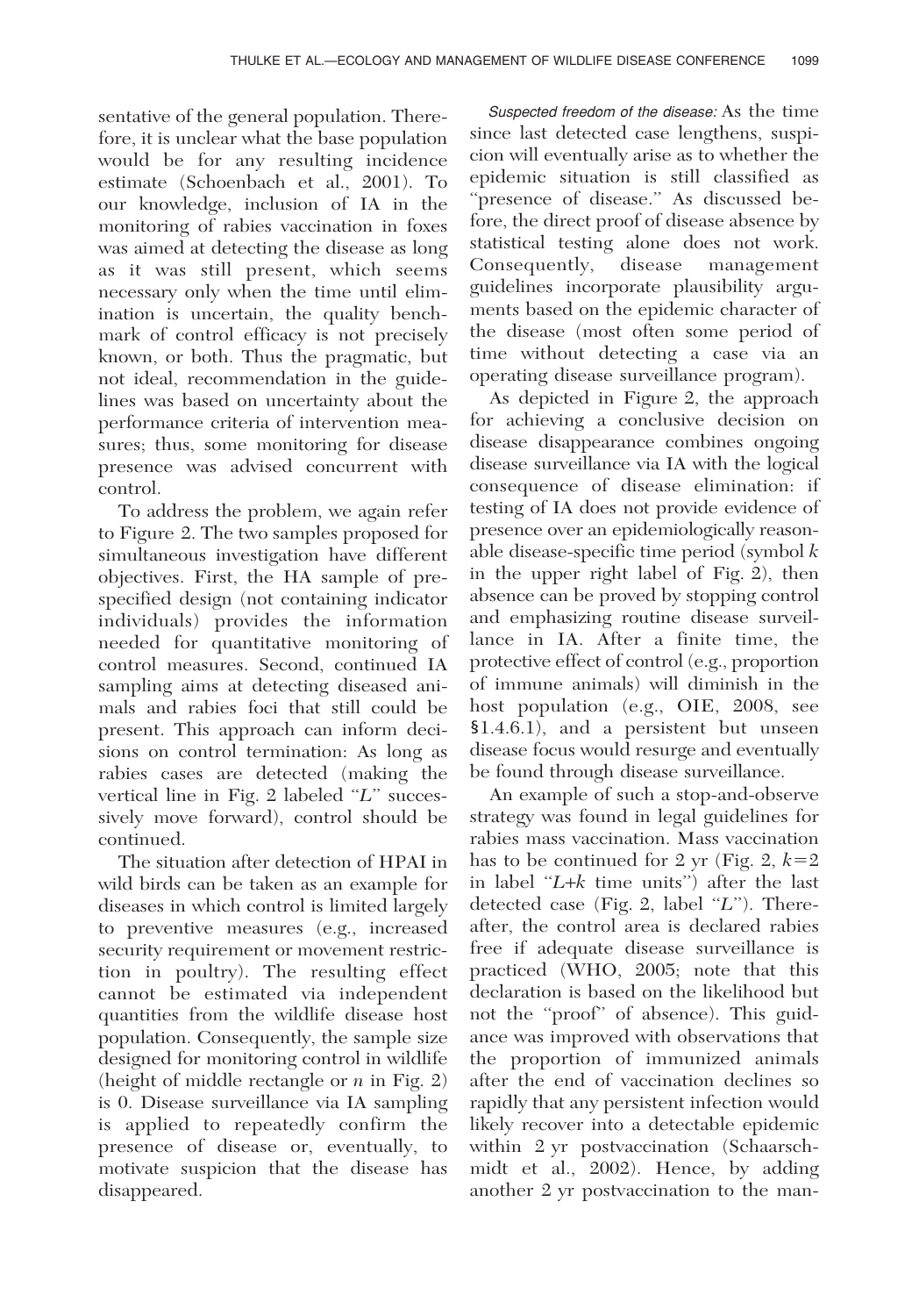sentative of the general population. Therefore, it is unclear what the base population would be for any resulting incidence estimate (Schoenbach et al., 2001). To our knowledge, inclusion of IA in the monitoring of rabies vaccination in foxes was aimed at detecting the disease as long as it was still present, which seems necessary only when the time until elimination is uncertain, the quality benchmark of control efficacy is not precisely known, or both. Thus the pragmatic, but not ideal, recommendation in the guidelines was based on uncertainty about the performance criteria of intervention measures; thus, some monitoring for disease presence was advised concurrent with control.

To address the problem, we again refer to Figure 2. The two samples proposed for simultaneous investigation have different objectives. First, the HA sample of prespecified design (not containing indicator individuals) provides the information needed for quantitative monitoring of control measures. Second, continued IA sampling aims at detecting diseased animals and rabies foci that still could be present. This approach can inform decisions on control termination: As long as rabies cases are detected (making the vertical line in Fig.  $2$  labeled " $L$ " successively move forward), control should be continued.

The situation after detection of HPAI in wild birds can be taken as an example for diseases in which control is limited largely to preventive measures (e.g., increased security requirement or movement restriction in poultry). The resulting effect cannot be estimated via independent quantities from the wildlife disease host population. Consequently, the sample size designed for monitoring control in wildlife (height of middle rectangle or  $n$  in Fig. 2) is 0. Disease surveillance via IA sampling is applied to repeatedly confirm the presence of disease or, eventually, to motivate suspicion that the disease has disappeared.

Suspected freedom of the disease: As the time since last detected case lengthens, suspicion will eventually arise as to whether the epidemic situation is still classified as ''presence of disease.'' As discussed before, the direct proof of disease absence by statistical testing alone does not work. Consequently, disease management guidelines incorporate plausibility arguments based on the epidemic character of the disease (most often some period of time without detecting a case via an operating disease surveillance program).

As depicted in Figure 2, the approach for achieving a conclusive decision on disease disappearance combines ongoing disease surveillance via IA with the logical consequence of disease elimination: if testing of IA does not provide evidence of presence over an epidemiologically reasonable disease-specific time period (symbol  $k$ ) in the upper right label of Fig. 2), then absence can be proved by stopping control and emphasizing routine disease surveillance in IA. After a finite time, the protective effect of control (e.g., proportion of immune animals) will diminish in the host population (e.g., OIE, 2008, see  $$1.4.6.1$ ), and a persistent but unseen disease focus would resurge and eventually be found through disease surveillance.

An example of such a stop-and-observe strategy was found in legal guidelines for rabies mass vaccination. Mass vaccination has to be continued for 2 yr (Fig. 2,  $k=2$ ) in label " $L+k$  time units") after the last detected case (Fig. 2, label  $\lq L$ ). Thereafter, the control area is declared rabies free if adequate disease surveillance is practiced (WHO, 2005; note that this declaration is based on the likelihood but not the ''proof'' of absence). This guidance was improved with observations that the proportion of immunized animals after the end of vaccination declines so rapidly that any persistent infection would likely recover into a detectable epidemic within 2 yr postvaccination (Schaarschmidt et al., 2002). Hence, by adding another 2 yr postvaccination to the man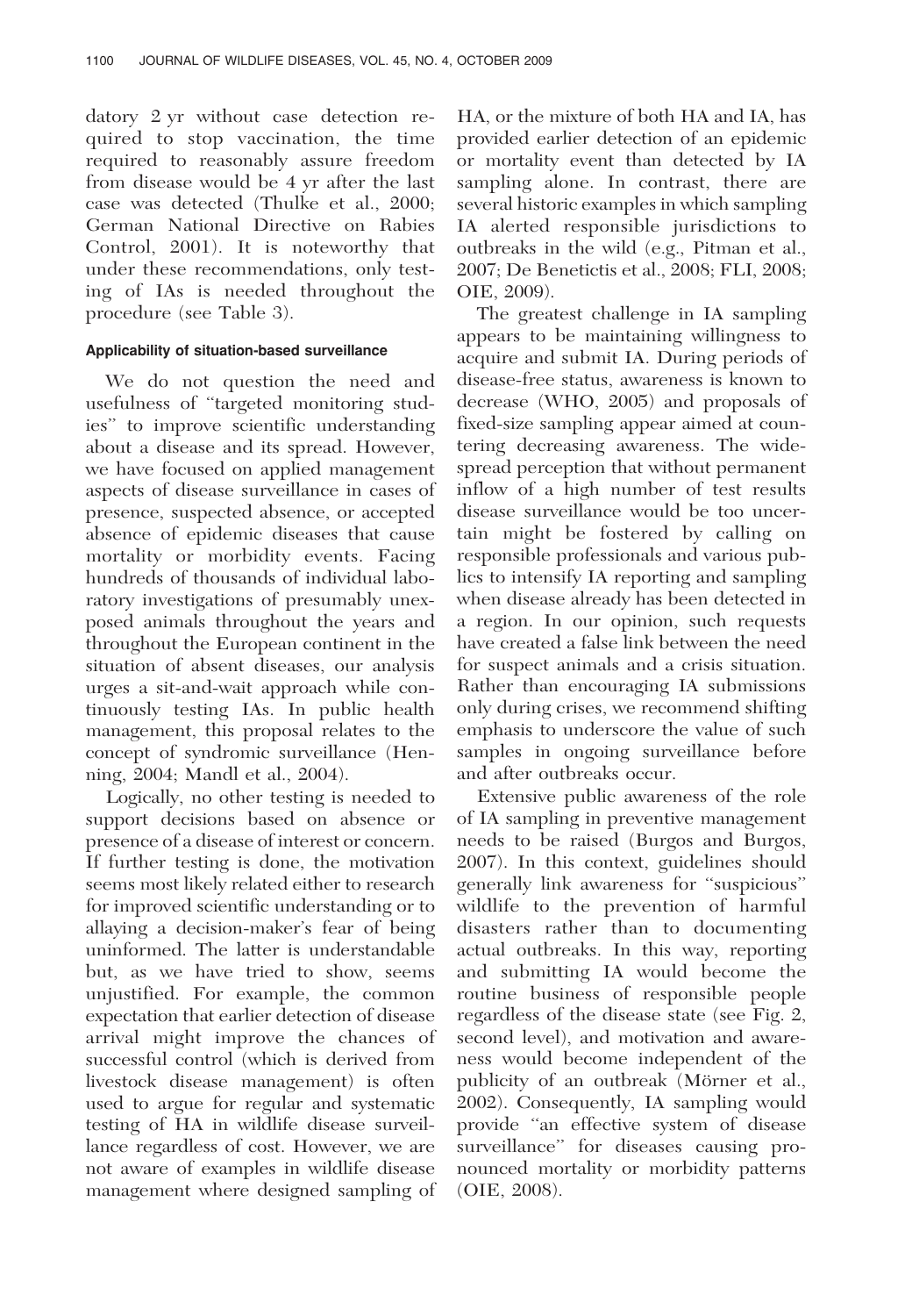datory 2 yr without case detection required to stop vaccination, the time required to reasonably assure freedom from disease would be 4 yr after the last case was detected (Thulke et al., 2000; German National Directive on Rabies Control, 2001). It is noteworthy that under these recommendations, only testing of IAs is needed throughout the procedure (see Table 3).

# Applicability of situation-based surveillance

We do not question the need and usefulness of ''targeted monitoring studies'' to improve scientific understanding about a disease and its spread. However, we have focused on applied management aspects of disease surveillance in cases of presence, suspected absence, or accepted absence of epidemic diseases that cause mortality or morbidity events. Facing hundreds of thousands of individual laboratory investigations of presumably unexposed animals throughout the years and throughout the European continent in the situation of absent diseases, our analysis urges a sit-and-wait approach while continuously testing IAs. In public health management, this proposal relates to the concept of syndromic surveillance (Henning, 2004; Mandl et al., 2004).

Logically, no other testing is needed to support decisions based on absence or presence of a disease of interest or concern. If further testing is done, the motivation seems most likely related either to research for improved scientific understanding or to allaying a decision-maker's fear of being uninformed. The latter is understandable but, as we have tried to show, seems unjustified. For example, the common expectation that earlier detection of disease arrival might improve the chances of successful control (which is derived from livestock disease management) is often used to argue for regular and systematic testing of HA in wildlife disease surveillance regardless of cost. However, we are not aware of examples in wildlife disease management where designed sampling of

HA, or the mixture of both HA and IA, has provided earlier detection of an epidemic or mortality event than detected by IA sampling alone. In contrast, there are several historic examples in which sampling IA alerted responsible jurisdictions to outbreaks in the wild (e.g., Pitman et al., 2007; De Benetictis et al., 2008; FLI, 2008; OIE, 2009).

The greatest challenge in IA sampling appears to be maintaining willingness to acquire and submit IA. During periods of disease-free status, awareness is known to decrease (WHO, 2005) and proposals of fixed-size sampling appear aimed at countering decreasing awareness. The widespread perception that without permanent inflow of a high number of test results disease surveillance would be too uncertain might be fostered by calling on responsible professionals and various publics to intensify IA reporting and sampling when disease already has been detected in a region. In our opinion, such requests have created a false link between the need for suspect animals and a crisis situation. Rather than encouraging IA submissions only during crises, we recommend shifting emphasis to underscore the value of such samples in ongoing surveillance before and after outbreaks occur.

Extensive public awareness of the role of IA sampling in preventive management needs to be raised (Burgos and Burgos, 2007). In this context, guidelines should generally link awareness for ''suspicious'' wildlife to the prevention of harmful disasters rather than to documenting actual outbreaks. In this way, reporting and submitting IA would become the routine business of responsible people regardless of the disease state (see Fig. 2, second level), and motivation and awareness would become independent of the publicity of an outbreak (Mörner et al., 2002). Consequently, IA sampling would provide ''an effective system of disease surveillance'' for diseases causing pronounced mortality or morbidity patterns (OIE, 2008).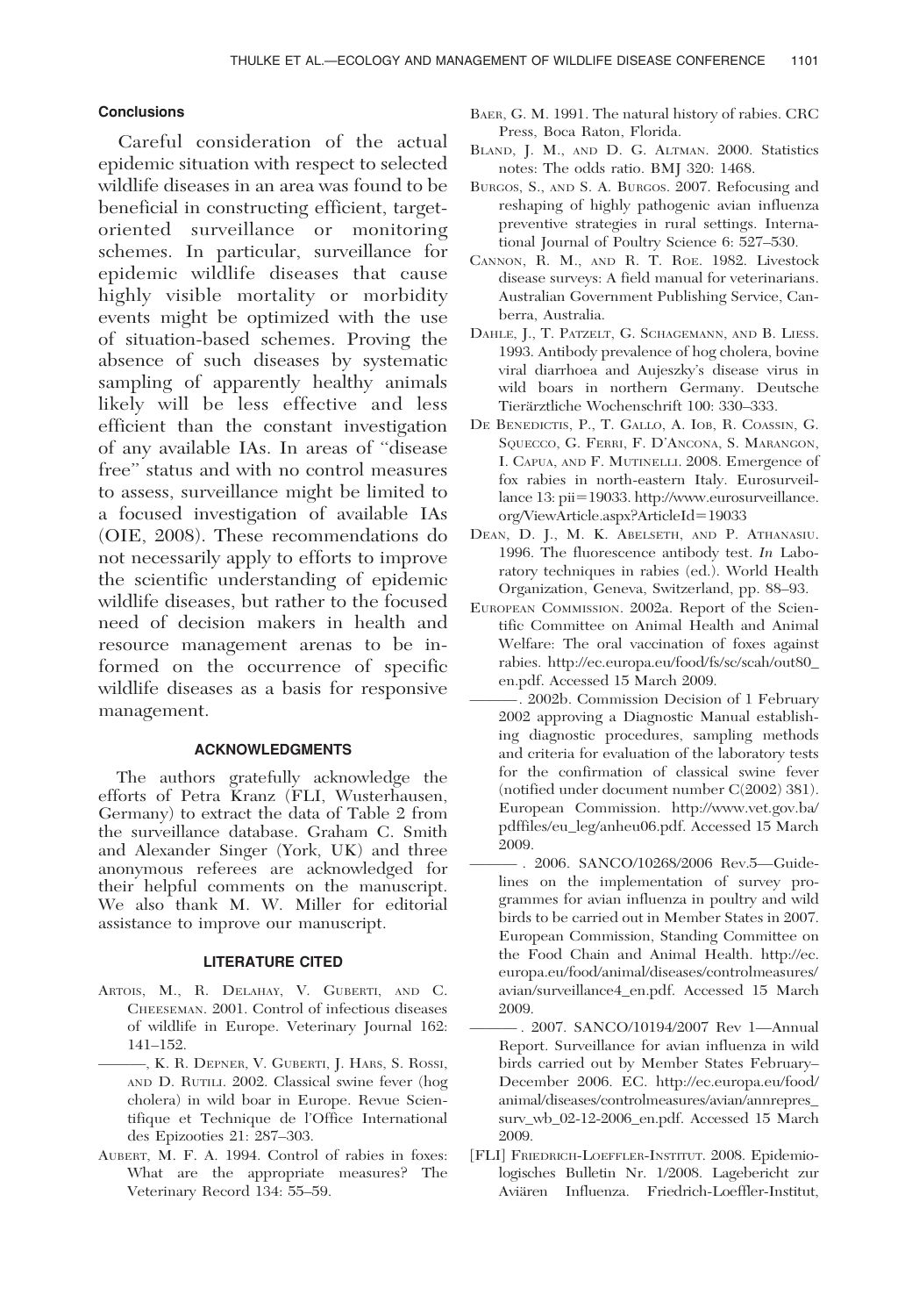# Conclusions

Careful consideration of the actual epidemic situation with respect to selected wildlife diseases in an area was found to be beneficial in constructing efficient, targetoriented surveillance or monitoring schemes. In particular, surveillance for epidemic wildlife diseases that cause highly visible mortality or morbidity events might be optimized with the use of situation-based schemes. Proving the absence of such diseases by systematic sampling of apparently healthy animals likely will be less effective and less efficient than the constant investigation of any available IAs. In areas of ''disease free'' status and with no control measures to assess, surveillance might be limited to a focused investigation of available IAs (OIE, 2008). These recommendations do not necessarily apply to efforts to improve the scientific understanding of epidemic wildlife diseases, but rather to the focused need of decision makers in health and resource management arenas to be informed on the occurrence of specific wildlife diseases as a basis for responsive management.

## ACKNOWLEDGMENTS

The authors gratefully acknowledge the efforts of Petra Kranz (FLI, Wusterhausen, Germany) to extract the data of Table 2 from the surveillance database. Graham C. Smith and Alexander Singer (York, UK) and three anonymous referees are acknowledged for their helpful comments on the manuscript. We also thank M. W. Miller for editorial assistance to improve our manuscript.

# LITERATURE CITED

- ARTOIS, M., R. DELAHAY, V. GUBERTI, AND C. CHEESEMAN. 2001. Control of infectious diseases of wildlife in Europe. Veterinary Journal 162: 141–152.
	- ———, K. R. DEPNER, V. GUBERTI, J. HARS, S. ROSSI, AND D. RUTILI. 2002. Classical swine fever (hog cholera) in wild boar in Europe. Revue Scientifique et Technique de l'Office International des Epizooties 21: 287–303.
- AUBERT, M. F. A. 1994. Control of rabies in foxes: What are the appropriate measures? The Veterinary Record 134: 55–59.
- BAER, G. M. 1991. The natural history of rabies. CRC Press, Boca Raton, Florida.
- BLAND, J. M., AND D. G. ALTMAN. 2000. Statistics notes: The odds ratio. BMJ 320: 1468.
- BURGOS, S., AND S. A. BURGOS. 2007. Refocusing and reshaping of highly pathogenic avian influenza preventive strategies in rural settings. International Journal of Poultry Science 6: 527–530.
- CANNON, R. M., AND R. T. ROE. 1982. Livestock disease surveys: A field manual for veterinarians. Australian Government Publishing Service, Canberra, Australia.
- DAHLE, J., T. PATZELT, G. SCHAGEMANN, AND B. LIESS. 1993. Antibody prevalence of hog cholera, bovine viral diarrhoea and Aujeszky's disease virus in wild boars in northern Germany. Deutsche Tierärztliche Wochenschrift 100: 330-333.
- DE BENEDICTIS, P., T. GALLO, A. IOB, R. COASSIN, G. SQUECCO, G. FERRI, F. D'ANCONA, S. MARANGON, I. CAPUA, AND F. MUTINELLI. 2008. Emergence of fox rabies in north-eastern Italy. Eurosurveillance 13: pii=19033. http://www.eurosurveillance. org/ViewArticle.aspx?ArticleId=19033
- DEAN, D. J., M. K. ABELSETH, AND P. ATHANASIU. 1996. The fluorescence antibody test. In Laboratory techniques in rabies (ed.). World Health Organization, Geneva, Switzerland, pp. 88–93.
- EUROPEAN COMMISSION. 2002a. Report of the Scientific Committee on Animal Health and Animal Welfare: The oral vaccination of foxes against rabies. http://ec.europa.eu/food/fs/sc/scah/out80\_ en.pdf. Accessed 15 March 2009.
- ———. 2002b. Commission Decision of 1 February 2002 approving a Diagnostic Manual establishing diagnostic procedures, sampling methods and criteria for evaluation of the laboratory tests for the confirmation of classical swine fever (notified under document number C(2002) 381). European Commission. http://www.vet.gov.ba/ pdffiles/eu\_leg/anheu06.pdf. Accessed 15 March 2009.
- ——— . 2006. SANCO/10268/2006 Rev.5—Guidelines on the implementation of survey programmes for avian influenza in poultry and wild birds to be carried out in Member States in 2007. European Commission, Standing Committee on the Food Chain and Animal Health. http://ec. europa.eu/food/animal/diseases/controlmeasures/ avian/surveillance4\_en.pdf. Accessed 15 March 2009.
- ——— . 2007. SANCO/10194/2007 Rev 1—Annual Report. Surveillance for avian influenza in wild birds carried out by Member States February– December 2006. EC. http://ec.europa.eu/food/ animal/diseases/controlmeasures/avian/annrepres\_ surv\_wb\_02-12-2006\_en.pdf. Accessed 15 March 2009.
- [FLI] FRIEDRICH-LOEFFLER-INSTITUT. 2008. Epidemiologisches Bulletin Nr. 1/2008. Lagebericht zur Aviären Influenza. Friedrich-Loeffler-Institut,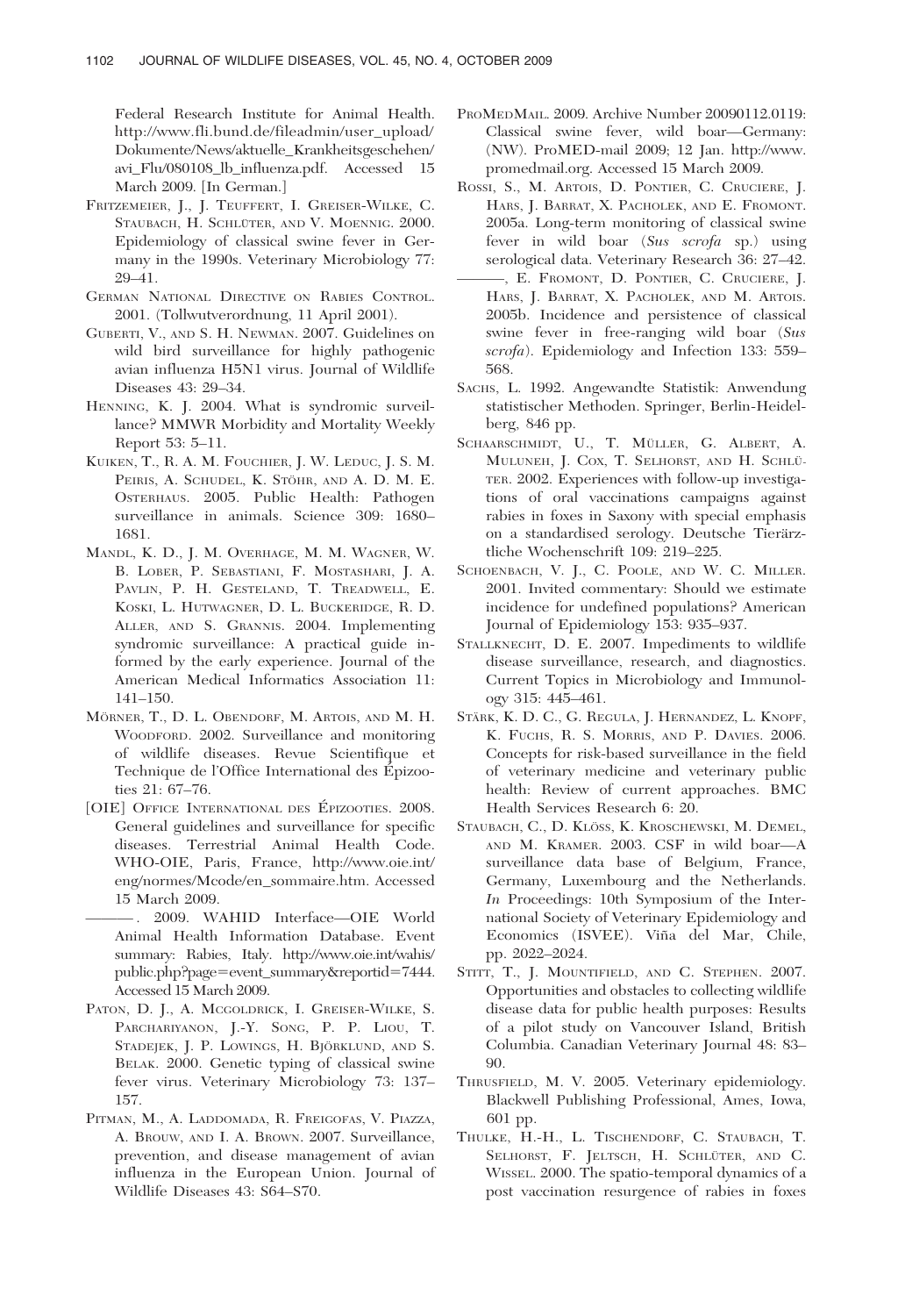Federal Research Institute for Animal Health. http://www.fli.bund.de/fileadmin/user\_upload/ Dokumente/News/aktuelle\_Krankheitsgeschehen/ avi\_Flu/080108\_lb\_influenza.pdf. Accessed 15 March 2009. [In German.]

- FRITZEMEIER, J., J. TEUFFERT, I. GREISER-WILKE, C. STAUBACH, H. SCHLÜTER, AND V. MOENNIG. 2000. Epidemiology of classical swine fever in Germany in the 1990s. Veterinary Microbiology 77: 29–41.
- GERMAN NATIONAL DIRECTIVE ON RABIES CONTROL. 2001. (Tollwutverordnung, 11 April 2001).
- GUBERTI, V., AND S. H. NEWMAN. 2007. Guidelines on wild bird surveillance for highly pathogenic avian influenza H5N1 virus. Journal of Wildlife Diseases 43: 29–34.
- HENNING, K. J. 2004. What is syndromic surveillance? MMWR Morbidity and Mortality Weekly Report 53: 5–11.
- KUIKEN, T., R. A. M. FOUCHIER, J. W. LEDUC, J. S. M. PEIRIS, A. SCHUDEL, K. STÖHR, AND A. D. M. E. OSTERHAUS. 2005. Public Health: Pathogen surveillance in animals. Science 309: 1680– 1681.
- MANDL, K. D., J. M. OVERHAGE, M. M. WAGNER, W. B. LOBER, P. SEBASTIANI, F. MOSTASHARI, J. A. PAVLIN, P. H. GESTELAND, T. TREADWELL, E. KOSKI, L. HUTWAGNER, D. L. BUCKERIDGE, R. D. ALLER, AND S. GRANNIS. 2004. Implementing syndromic surveillance: A practical guide informed by the early experience. Journal of the American Medical Informatics Association 11: 141–150.
- MÖRNER, T., D. L. OBENDORF, M. ARTOIS, AND M. H. WOODFORD. 2002. Surveillance and monitoring of wildlife diseases. Revue Scientifique et Technique de l'Office International des Épizooties 21: 67–76.
- [OIE] OFFICE INTERNATIONAL DES ÉPIZOOTIES. 2008. General guidelines and surveillance for specific diseases. Terrestrial Animal Health Code. WHO-OIE, Paris, France, http://www.oie.int/ eng/normes/Mcode/en\_sommaire.htm. Accessed 15 March 2009.
	- ——— . 2009. WAHID Interface—OIE World Animal Health Information Database. Event summary: Rabies, Italy. http://www.oie.int/wahis/ public.php?page=event\_summary&reportid=7444. Accessed 15 March 2009.
- PATON, D. J., A. MCGOLDRICK, I. GREISER-WILKE, S. PARCHARIYANON, J.-Y. SONG, P. P. LIOU, T. STADEJEK, J. P. LOWINGS, H. BJÖRKLUND, AND S. BELAK. 2000. Genetic typing of classical swine fever virus. Veterinary Microbiology 73: 137– 157.
- PITMAN, M., A. LADDOMADA, R. FREIGOFAS, V. PIAZZA, A. BROUW, AND I. A. BROWN. 2007. Surveillance, prevention, and disease management of avian influenza in the European Union. Journal of Wildlife Diseases 43: S64–S70.
- PROMEDMAIL. 2009. Archive Number 20090112.0119: Classical swine fever, wild boar—Germany: (NW). ProMED-mail 2009; 12 Jan. http://www. promedmail.org. Accessed 15 March 2009.
- ROSSI, S., M. ARTOIS, D. PONTIER, C. CRUCIERE, J. HARS, J. BARRAT, X. PACHOLEK, AND E. FROMONT. 2005a. Long-term monitoring of classical swine fever in wild boar (Sus scrofa sp.) using serological data. Veterinary Research 36: 27–42.
- ———, E. FROMONT, D. PONTIER, C. CRUCIERE, J. HARS, J. BARRAT, X. PACHOLEK, AND M. ARTOIS. 2005b. Incidence and persistence of classical swine fever in free-ranging wild boar (Sus scrofa). Epidemiology and Infection 133: 559– 568.
- SACHS, L. 1992. Angewandte Statistik: Anwendung statistischer Methoden. Springer, Berlin-Heidelberg, 846 pp.
- SCHAARSCHMIDT, U., T. MÜLLER, G. ALBERT, A. MULUNEH, J. COX, T. SELHORST, AND H. SCHLÜ-TER. 2002. Experiences with follow-up investigations of oral vaccinations campaigns against rabies in foxes in Saxony with special emphasis on a standardised serology. Deutsche Tierärztliche Wochenschrift 109: 219–225.
- SCHOENBACH, V. J., C. POOLE, AND W. C. MILLER. 2001. Invited commentary: Should we estimate incidence for undefined populations? American Journal of Epidemiology 153: 935–937.
- STALLKNECHT, D. E. 2007. Impediments to wildlife disease surveillance, research, and diagnostics. Current Topics in Microbiology and Immunology 315: 445–461.
- STÄRK, K. D. C., G. REGULA, J. HERNANDEZ, L. KNOPF, K. FUCHS, R. S. MORRIS, AND P. DAVIES. 2006. Concepts for risk-based surveillance in the field of veterinary medicine and veterinary public health: Review of current approaches. BMC Health Services Research 6: 20.
- STAUBACH, C., D. KLÖSS, K. KROSCHEWSKI, M. DEMEL, AND M. KRAMER. 2003. CSF in wild boar—A surveillance data base of Belgium, France, Germany, Luxembourg and the Netherlands. In Proceedings: 10th Symposium of the International Society of Veterinary Epidemiology and Economics (ISVEE). Viña del Mar, Chile, pp. 2022–2024.
- STITT, T., J. MOUNTIFIELD, AND C. STEPHEN. 2007. Opportunities and obstacles to collecting wildlife disease data for public health purposes: Results of a pilot study on Vancouver Island, British Columbia. Canadian Veterinary Journal 48: 83– 90.
- THRUSFIELD, M. V. 2005. Veterinary epidemiology. Blackwell Publishing Professional, Ames, Iowa, 601 pp.
- THULKE, H.-H., L. TISCHENDORF, C. STAUBACH, T. SELHORST, F. JELTSCH, H. SCHLÜTER, AND C. WISSEL. 2000. The spatio-temporal dynamics of a post vaccination resurgence of rabies in foxes